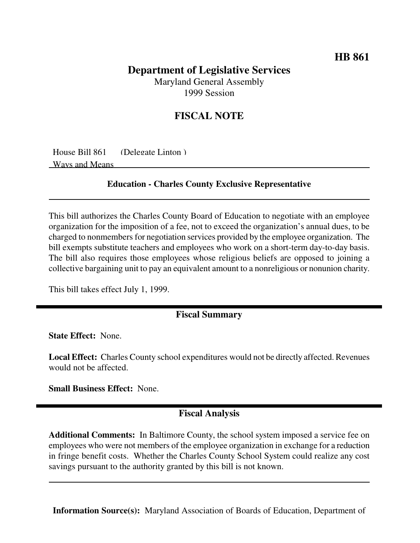## **HB 861**

# **Department of Legislative Services**

Maryland General Assembly 1999 Session

# **FISCAL NOTE**

House Bill 861 (Delegate Linton ) Ways and Means

#### **Education - Charles County Exclusive Representative**

This bill authorizes the Charles County Board of Education to negotiate with an employee organization for the imposition of a fee, not to exceed the organization's annual dues, to be charged to nonmembers for negotiation services provided by the employee organization. The bill exempts substitute teachers and employees who work on a short-term day-to-day basis. The bill also requires those employees whose religious beliefs are opposed to joining a collective bargaining unit to pay an equivalent amount to a nonreligious or nonunion charity.

This bill takes effect July 1, 1999.

### **Fiscal Summary**

**State Effect:** None.

**Local Effect:** Charles County school expenditures would not be directly affected. Revenues would not be affected.

**Small Business Effect:** None.

### **Fiscal Analysis**

**Additional Comments:** In Baltimore County, the school system imposed a service fee on employees who were not members of the employee organization in exchange for a reduction in fringe benefit costs. Whether the Charles County School System could realize any cost savings pursuant to the authority granted by this bill is not known.